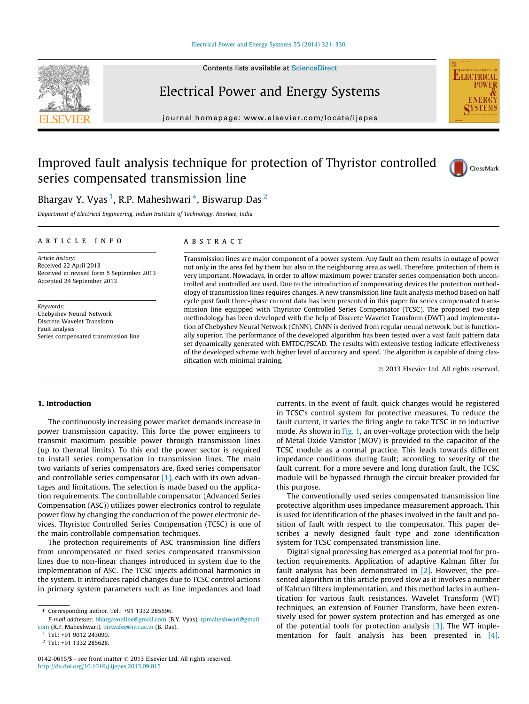#### [Electrical Power and Energy Systems 55 \(2014\) 321–330](http://dx.doi.org/10.1016/j.ijepes.2013.09.015)

Contents lists available at [ScienceDirect](http://www.sciencedirect.com/science/journal/01420615)



Electrical Power and Energy Systems journal homepage: [www.elsevier.com/locate/ijepes](http://www.elsevier.com/locate/ijepes)

## Improved fault analysis technique for protection of Thyristor controlled series compensated transmission line



Bhargav Y. Vyas  $^1$ , R.P. Maheshwari  $^\ast$ , Biswarup Das  $^2$ 

Department of Electrical Engineering, Indian Institute of Technology, Roorkee, India

#### article info

Article history: Received 22 April 2013 Received in revised form 5 September 2013 Accepted 24 September 2013

Keywords: Chebyshev Neural Network Discrete Wavelet Transform Fault analysis Series compensated transmission line

#### ABSTRACT

Transmission lines are major component of a power system. Any fault on them results in outage of power not only in the area fed by them but also in the neighboring area as well. Therefore, protection of them is very important. Nowadays, in order to allow maximum power transfer series compensation both uncontrolled and controlled are used. Due to the introduction of compensating devices the protection methodology of transmission lines requires changes. A new transmission line fault analysis method based on half cycle post fault three-phase current data has been presented in this paper for series compensated transmission line equipped with Thyristor Controlled Series Compensator (TCSC). The proposed two-step methodology has been developed with the help of Discrete Wavelet Transform (DWT) and implementation of Chebyshev Neural Network (ChNN). ChNN is derived from regular neural network, but is functionally superior. The performance of the developed algorithm has been tested over a vast fault pattern data set dynamically generated with EMTDC/PSCAD. The results with extensive testing indicate effectiveness of the developed scheme with higher level of accuracy and speed. The algorithm is capable of doing classification with minimal training.

- 2013 Elsevier Ltd. All rights reserved.

### 1. Introduction

The continuously increasing power market demands increase in power transmission capacity. This force the power engineers to transmit maximum possible power through transmission lines (up to thermal limits). To this end the power sector is required to install series compensation in transmission lines. The main two variants of series compensators are, fixed series compensator and controllable series compensator [\[1\],](#page--1-0) each with its own advantages and limitations. The selection is made based on the application requirements. The controllable compensator (Advanced Series Compensation (ASC)) utilizes power electronics control to regulate power flow by changing the conduction of the power electronic devices. Thyristor Controlled Series Compensation (TCSC) is one of the main controllable compensation techniques.

The protection requirements of ASC transmission line differs from uncompensated or fixed series compensated transmission lines due to non-linear changes introduced in system due to the implementation of ASC. The TCSC injects additional harmonics in the system. It introduces rapid changes due to TCSC control actions in primary system parameters such as line impedances and load

currents. In the event of fault, quick changes would be registered in TCSC's control system for protective measures. To reduce the fault current, it varies the firing angle to take TCSC in to inductive mode. As shown in [Fig. 1](#page-1-0), an over-voltage protection with the help of Metal Oxide Varistor (MOV) is provided to the capacitor of the TCSC module as a normal practice. This leads towards different impedance conditions during fault; according to severity of the fault current. For a more severe and long duration fault, the TCSC module will be bypassed through the circuit breaker provided for this purpose.

The conventionally used series compensated transmission line protective algorithm uses impedance measurement approach. This is used for identification of the phases involved in the fault and position of fault with respect to the compensator. This paper describes a newly designed fault type and zone identification system for TCSC compensated transmission line.

Digital signal processing has emerged as a potential tool for protection requirements. Application of adaptive Kalman filter for fault analysis has been demonstrated in [\[2\].](#page--1-0) However, the presented algorithm in this article proved slow as it involves a number of Kalman filters implementation, and this method lacks in authentication for various fault resistances. Wavelet Transform (WT) techniques, an extension of Fourier Transform, have been extensively used for power system protection and has emerged as one of the potential tools for protection analysis [\[3\]](#page--1-0). The WT implementation for fault analysis has been presented in [\[4\].](#page--1-0)

<sup>⇑</sup> Corresponding author. Tel.: +91 1332 285596.

E-mail addresses: [bhargavonline@gmail.com](mailto:bhargavonline@gmail.com) (B.Y. Vyas), [rpmaheshwari@gmail.](mailto:rpmaheshwari@gmail.com) [com](mailto:rpmaheshwari@gmail.com) (R.P. Maheshwari), [biswafee@iitr.ac.in](mailto:biswafee@iitr.ac.in) (B. Das).

<sup>1</sup> Tel.: +91 9012 243090.

<sup>2</sup> Tel.: +91 1332 285628.

<sup>0142-0615/\$ -</sup> see front matter © 2013 Elsevier Ltd. All rights reserved. <http://dx.doi.org/10.1016/j.ijepes.2013.09.015>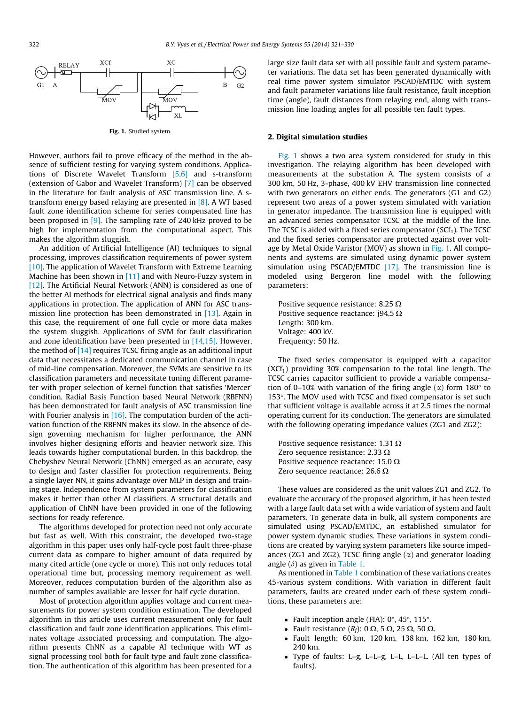<span id="page-1-0"></span>

Fig. 1. Studied system.

However, authors fail to prove efficacy of the method in the absence of sufficient testing for varying system conditions. Applications of Discrete Wavelet Transform [\[5,6\]](#page--1-0) and s-transform (extension of Gabor and Wavelet Transform) [\[7\]](#page--1-0) can be observed in the literature for fault analysis of ASC transmission line. A stransform energy based relaying are presented in [\[8\].](#page--1-0) A WT based fault zone identification scheme for series compensated line has been proposed in [\[9\]](#page--1-0). The sampling rate of 240 kHz proved to be high for implementation from the computational aspect. This makes the algorithm sluggish.

An addition of Artificial Intelligence (AI) techniques to signal processing, improves classification requirements of power system [\[10\]](#page--1-0). The application of Wavelet Transform with Extreme Learning Machine has been shown in [\[11\]](#page--1-0) and with Neuro-Fuzzy system in [\[12\]](#page--1-0). The Artificial Neural Network (ANN) is considered as one of the better AI methods for electrical signal analysis and finds many applications in protection. The application of ANN for ASC transmission line protection has been demonstrated in [\[13\]](#page--1-0). Again in this case, the requirement of one full cycle or more data makes the system sluggish. Applications of SVM for fault classification and zone identification have been presented in  $[14,15]$ . However, the method of  $[14]$  requires TCSC firing angle as an additional input data that necessitates a dedicated communication channel in case of mid-line compensation. Moreover, the SVMs are sensitive to its classification parameters and necessitate tuning different parameter with proper selection of kernel function that satisfies 'Mercer' condition. Radial Basis Function based Neural Network (RBFNN) has been demonstrated for fault analysis of ASC transmission line with Fourier analysis in [\[16\].](#page--1-0) The computation burden of the activation function of the RBFNN makes its slow. In the absence of design governing mechanism for higher performance, the ANN involves higher designing efforts and heavier network size. This leads towards higher computational burden. In this backdrop, the Chebyshev Neural Network (ChNN) emerged as an accurate, easy to design and faster classifier for protection requirements. Being a single layer NN, it gains advantage over MLP in design and training stage. Independence from system parameters for classification makes it better than other AI classifiers. A structural details and application of ChNN have been provided in one of the following sections for ready reference.

The algorithms developed for protection need not only accurate but fast as well. With this constraint, the developed two-stage algorithm in this paper uses only half-cycle post fault three-phase current data as compare to higher amount of data required by many cited article (one cycle or more). This not only reduces total operational time but, processing memory requirement as well. Moreover, reduces computation burden of the algorithm also as number of samples available are lesser for half cycle duration.

Most of protection algorithm applies voltage and current measurements for power system condition estimation. The developed algorithm in this article uses current measurement only for fault classification and fault zone identification applications. This eliminates voltage associated processing and computation. The algorithm presents ChNN as a capable AI technique with WT as signal processing tool both for fault type and fault zone classification. The authentication of this algorithm has been presented for a large size fault data set with all possible fault and system parameter variations. The data set has been generated dynamically with real time power system simulator PSCAD/EMTDC with system and fault parameter variations like fault resistance, fault inception time (angle), fault distances from relaying end, along with transmission line loading angles for all possible ten fault types.

#### 2. Digital simulation studies

Fig. 1 shows a two area system considered for study in this investigation. The relaying algorithm has been developed with measurements at the substation A. The system consists of a 300 km, 50 Hz, 3-phase, 400 kV EHV transmission line connected with two generators on either ends. The generators (G1 and G2) represent two areas of a power system simulated with variation in generator impedance. The transmission line is equipped with an advanced series compensator TCSC at the middle of the line. The TCSC is aided with a fixed series compensator  $(SCf<sub>1</sub>)$ . The TCSC and the fixed series compensator are protected against over voltage by Metal Oxide Varistor (MOV) as shown in Fig. 1. All components and systems are simulated using dynamic power system simulation using PSCAD/EMTDC [\[17\]](#page--1-0). The transmission line is modeled using Bergeron line model with the following parameters:

Positive sequence resistance: 8.25  $\Omega$ Positive sequence reactance: j94.5  $\Omega$ Length: 300 km. Voltage: 400 kV. Frequency: 50 Hz.

The fixed series compensator is equipped with a capacitor  $(XCf<sub>1</sub>)$  providing 30% compensation to the total line length. The TCSC carries capacitor sufficient to provide a variable compensation of 0–10% with variation of the firing angle  $(\alpha)$  form 180 $\degree$  to 153°. The MOV used with TCSC and fixed compensator is set such that sufficient voltage is available across it at 2.5 times the normal operating current for its conduction. The generators are simulated with the following operating impedance values (ZG1 and ZG2):

Positive sequence resistance: 1.31  $\Omega$ Zero sequence resistance: 2.33  $\Omega$ Positive sequence reactance: 15.0  $\Omega$ Zero sequence reactance: 26.6  $\Omega$ 

These values are considered as the unit values ZG1 and ZG2. To evaluate the accuracy of the proposed algorithm, it has been tested with a large fault data set with a wide variation of system and fault parameters. To generate data in bulk, all system components are simulated using PSCAD/EMTDC, an established simulator for power system dynamic studies. These variations in system conditions are created by varying system parameters like source impedances (ZG1 and ZG2), TCSC firing angle  $(\alpha)$  and generator loading angle  $(\delta)$  as given in [Table 1.](#page--1-0)

As mentioned in [Table 1](#page--1-0) combination of these variations creates 45-various system conditions. With variation in different fault parameters, faults are created under each of these system conditions, these parameters are:

- Fault inception angle (FIA):  $0^\circ$ , 45 $^\circ$ , 115 $^\circ$ .
- Fault resistance  $(R_f)$ : 0  $\Omega$ , 5  $\Omega$ , 25  $\Omega$ , 50  $\Omega$ .
- Fault length: 60 km, 120 km, 138 km, 162 km, 180 km, 240 km.
- - Type of faults: L–g, L–L–g, L–L, L–L–L. (All ten types of faults).